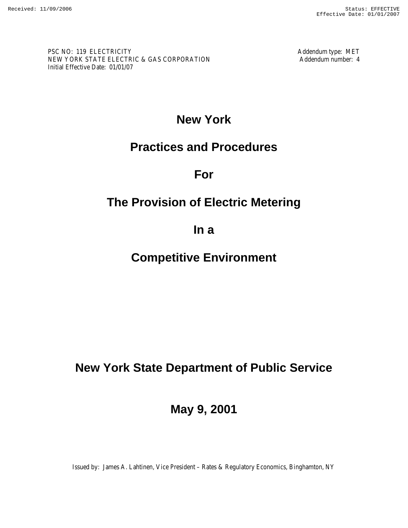PSC NO: 119 ELECTRICITY Addendum type: MET NEW YORK STATE ELECTRIC & GAS CORPORATION Addendum number: 4 Initial Effective Date: 01/01/07

# **New York**

# **Practices and Procedures**

**For** 

# **The Provision of Electric Metering**

**In a** 

# **Competitive Environment**

# **New York State Department of Public Service**

**May 9, 2001** 

Issued by: James A. Lahtinen, Vice President – Rates & Regulatory Economics, Binghamton, NY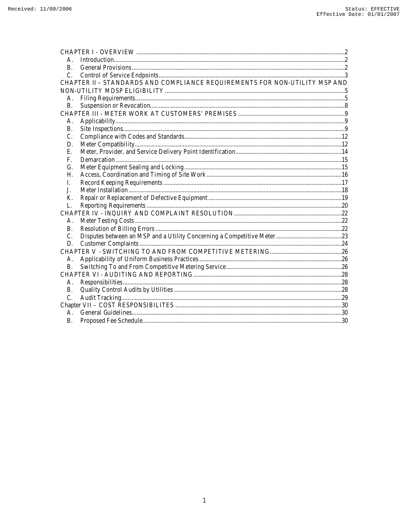| <b>B.</b> |                                                                            |  |  |  |  |
|-----------|----------------------------------------------------------------------------|--|--|--|--|
| C.        |                                                                            |  |  |  |  |
|           | CHAPTER II - STANDARDS AND COMPLIANCE REQUIREMENTS FOR NON-UTILITY MSP AND |  |  |  |  |
|           |                                                                            |  |  |  |  |
| А.        |                                                                            |  |  |  |  |
| <b>B.</b> |                                                                            |  |  |  |  |
|           |                                                                            |  |  |  |  |
| А.        |                                                                            |  |  |  |  |
| <b>B.</b> |                                                                            |  |  |  |  |
| C.        |                                                                            |  |  |  |  |
| D.        |                                                                            |  |  |  |  |
| E.        |                                                                            |  |  |  |  |
| F.        |                                                                            |  |  |  |  |
| G.        |                                                                            |  |  |  |  |
| Н.        |                                                                            |  |  |  |  |
| I.        |                                                                            |  |  |  |  |
| J.        |                                                                            |  |  |  |  |
| K.        |                                                                            |  |  |  |  |
| L.        |                                                                            |  |  |  |  |
|           |                                                                            |  |  |  |  |
| А.        |                                                                            |  |  |  |  |
| <b>B.</b> |                                                                            |  |  |  |  |
| C.        |                                                                            |  |  |  |  |
| D.        |                                                                            |  |  |  |  |
|           |                                                                            |  |  |  |  |
| А.        |                                                                            |  |  |  |  |
| <b>B.</b> |                                                                            |  |  |  |  |
|           |                                                                            |  |  |  |  |
| Α.        |                                                                            |  |  |  |  |
| В.        |                                                                            |  |  |  |  |
| C.        |                                                                            |  |  |  |  |
|           |                                                                            |  |  |  |  |
| A.        |                                                                            |  |  |  |  |
| <b>B.</b> |                                                                            |  |  |  |  |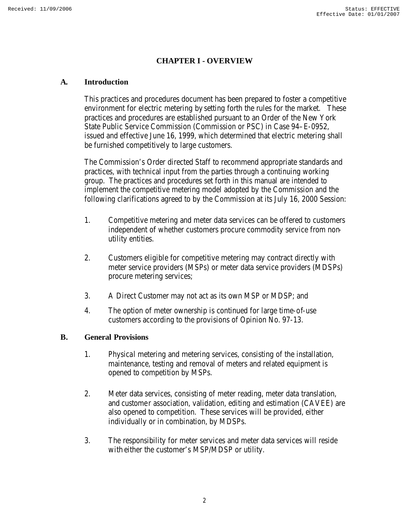# **CHAPTER I - OVERVIEW**

#### **A. Introduction**

This practices and procedures document has been prepared to foster a competitive environment for electric metering by setting forth the rules for the market. These practices and procedures are established pursuant to an Order of the New York State Public Service Commission (Commission or PSC) in Case 94–E-0952, issued and effective June 16, 1999, which determined that electric metering shall be furnished competitively to large customers.

The Commission's Order directed Staff to recommend appropriate standards and practices, with technical input from the parties through a continuing working group. The practices and procedures set forth in this manual are intended to implement the competitive metering model adopted by the Commission and the following clarifications agreed to by the Commission at its July 16, 2000 Session:

- 1. Competitive metering and meter data services can be offered to customers independent of whether customers procure commodity service from nonutility entities.
- 2. Customers eligible for competitive metering may contract directly with meter service providers (MSPs) or meter data service providers (MDSPs) procure metering services;
- 3. A Direct Customer may not act as its own MSP or MDSP; and
- 4. The option of meter ownership is continued for large time-of-use customers according to the provisions of Opinion No. 97-13.

#### **B. General Provisions**

- 1. Physical metering and metering services, consisting of the installation, maintenance, testing and removal of meters and related equipment is opened to competition by MSPs.
- 2. Meter data services, consisting of meter reading, meter data translation, and customer association, validation, editing and estimation (CAVEE) are also opened to competition. These services will be provided, either individually or in combination, by MDSPs.
- 3. The responsibility for meter services and meter data services will reside with either the customer's MSP/MDSP or utility.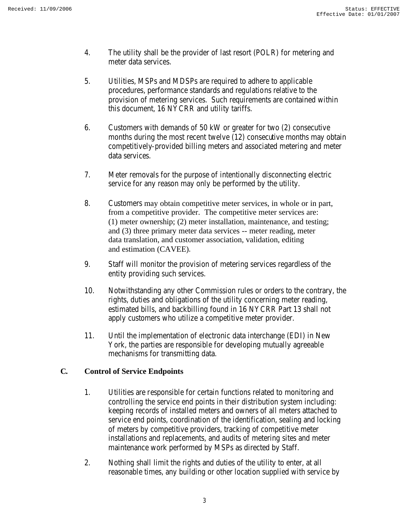- 4. The utility shall be the provider of last resort (POLR) for metering and meter data services.
- 5. Utilities, MSPs and MDSPs are required to adhere to applicable procedures, performance standards and regulations relative to the provision of metering services. Such requirements are contained within this document, 16 NYCRR and utility tariffs.
- 6. Customers with demands of 50 kW or greater for two (2) consecutive months during the most recent twelve (12) consecutive months may obtain competitively-provided billing meters and associated metering and meter data services.
- 7. Meter removals for the purpose of intentionally disconnecting electric service for any reason may only be performed by the utility.
- 8. Customers may obtain competitive meter services, in whole or in part, from a competitive provider. The competitive meter services are: (1) meter ownership; (2) meter installation, maintenance, and testing; and (3) three primary meter data services -- meter reading, meter data translation, and customer association, validation, editing and estimation (CAVEE).
- 9. Staff will monitor the provision of metering services regardless of the entity providing such services.
- 10. Notwithstanding any other Commission rules or orders to the contrary, the rights, duties and obligations of the utility concerning meter reading, estimated bills, and backbilling found in 16 NYCRR Part 13 shall not apply customers who utilize a competitive meter provider.
- 11. Until the implementation of electronic data interchange (EDI) in New York, the parties are responsible for developing mutually agreeable mechanisms for transmitting data.

# **C. Control of Service Endpoints**

- 1. Utilities are responsible for certain functions related to monitoring and controlling the service end points in their distribution system including: keeping records of installed meters and owners of all meters attached to service end points, coordination of the identification, sealing and locking of meters by competitive providers, tracking of competitive meter installations and replacements, and audits of metering sites and meter maintenance work performed by MSPs as directed by Staff.
- 2. Nothing shall limit the rights and duties of the utility to enter, at all reasonable times, any building or other location supplied with service by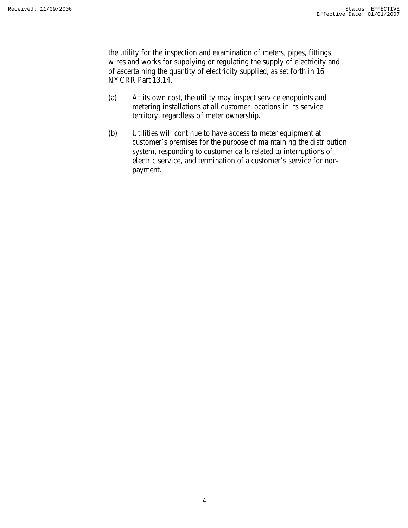the utility for the inspection and examination of meters, pipes, fittings, wires and works for supplying or regulating the supply of electricity and of ascertaining the quantity of electricity supplied, as set forth in 16 NYCRR Part 13.14.

- (a) At its own cost, the utility may inspect service endpoints and metering installations at all customer locations in its service territory, regardless of meter ownership.
- (b) Utilities will continue to have access to meter equipment at customer's premises for the purpose of maintaining the distribution system, responding to customer calls related to interruptions of electric service, and termination of a customer's service for nonpayment.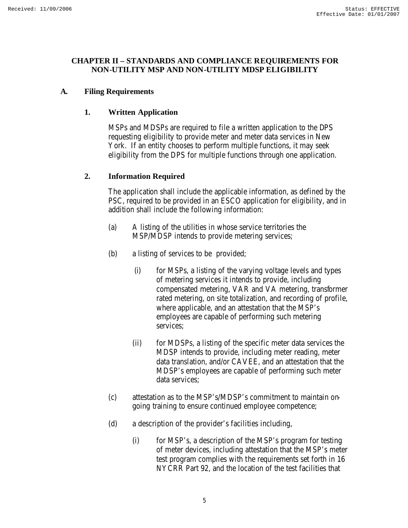#### **CHAPTER II – STANDARDS AND COMPLIANCE REQUIREMENTS FOR NON-UTILITY MSP AND NON-UTILITY MDSP ELIGIBILITY**

# **A. Filing Requirements**

#### **1. Written Application**

MSPs and MDSPs are required to file a written application to the DPS requesting eligibility to provide meter and meter data services in New York. If an entity chooses to perform multiple functions, it may seek eligibility from the DPS for multiple functions through one application.

#### **2. Information Required**

The application shall include the applicable information, as defined by the PSC, required to be provided in an ESCO application for eligibility, and in addition shall include the following information:

- (a) A listing of the utilities in whose service territories the MSP/MDSP intends to provide metering services;
- (b) a listing of services to be provided;
	- (i) for MSPs, a listing of the varying voltage levels and types of metering services it intends to provide, including compensated metering, VAR and VA metering, transformer rated metering, on site totalization, and recording of profile, where applicable, and an attestation that the MSP's employees are capable of performing such metering services;
	- (ii) for MDSPs, a listing of the specific meter data services the MDSP intends to provide, including meter reading, meter data translation, and/or CAVEE, and an attestation that the MDSP's employees are capable of performing such meter data services;
- (c) attestation as to the MSP's/MDSP's commitment to maintain ongoing training to ensure continued employee competence;
- (d) a description of the provider's facilities including,
	- (i) for MSP's, a description of the MSP's program for testing of meter devices, including attestation that the MSP's meter test program complies with the requirements set forth in 16 NYCRR Part 92, and the location of the test facilities that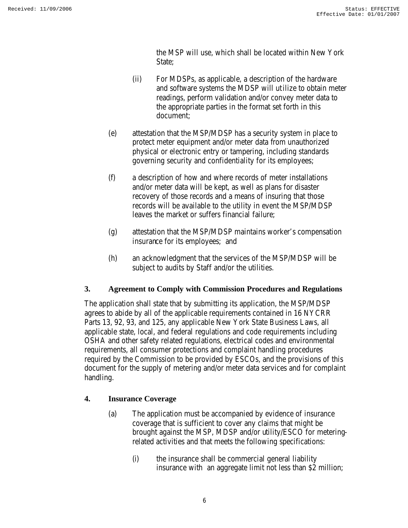the MSP will use, which shall be located within New York State:

- (ii) For MDSPs, as applicable, a description of the hardware and software systems the MDSP will utilize to obtain meter readings, perform validation and/or convey meter data to the appropriate parties in the format set forth in this document;
- (e) attestation that the MSP/MDSP has a security system in place to protect meter equipment and/or meter data from unauthorized physical or electronic entry or tampering, including standards governing security and confidentiality for its employees;
- (f) a description of how and where records of meter installations and/or meter data will be kept, as well as plans for disaster recovery of those records and a means of insuring that those records will be available to the utility in event the MSP/MDSP leaves the market or suffers financial failure;
- (g) attestation that the MSP/MDSP maintains worker's compensation insurance for its employees; and
- (h) an acknowledgment that the services of the MSP/MDSP will be subject to audits by Staff and/or the utilities.

# **3. Agreement to Comply with Commission Procedures and Regulations**

The application shall state that by submitting its application, the MSP/MDSP agrees to abide by all of the applicable requirements contained in 16 NYCRR Parts 13, 92, 93, and 125, any applicable New York State Business Laws, all applicable state, local, and federal regulations and code requirements including OSHA and other safety related regulations, electrical codes and environmental requirements, all consumer protections and complaint handling procedures required by the Commission to be provided by ESCOs, and the provisions of this document for the supply of metering and/or meter data services and for complaint handling.

# **4. Insurance Coverage**

- (a) The application must be accompanied by evidence of insurance coverage that is sufficient to cover any claims that might be brought against the MSP, MDSP and/or utility/ESCO for meteringrelated activities and that meets the following specifications:
	- (i) the insurance shall be commercial general liability insurance with an aggregate limit not less than \$2 million;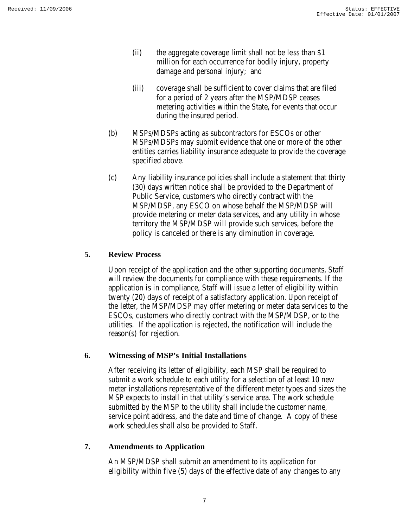- (ii) the aggregate coverage limit shall not be less than \$1 million for each occurrence for bodily injury, property damage and personal injury; and
- (iii) coverage shall be sufficient to cover claims that are filed for a period of 2 years after the MSP/MDSP ceases metering activities within the State, for events that occur during the insured period.
- (b) MSPs/MDSPs acting as subcontractors for ESCOs or other MSPs/MDSPs may submit evidence that one or more of the other entities carries liability insurance adequate to provide the coverage specified above.
- (c) Any liability insurance policies shall include a statement that thirty (30) days written notice shall be provided to the Department of Public Service, customers who directly contract with the MSP/MDSP, any ESCO on whose behalf the MSP/MDSP will provide metering or meter data services, and any utility in whose territory the MSP/MDSP will provide such services, before the policy is canceled or there is any diminution in coverage.

# **5. Review Process**

Upon receipt of the application and the other supporting documents, Staff will review the documents for compliance with these requirements. If the application is in compliance, Staff will issue a letter of eligibility within twenty (20) days of receipt of a satisfactory application. Upon receipt of the letter, the MSP/MDSP may offer metering or meter data services to the ESCOs, customers who directly contract with the MSP/MDSP, or to the utilities. If the application is rejected, the notification will include the reason(s) for rejection.

#### **6. Witnessing of MSP's Initial Installations**

After receiving its letter of eligibility, each MSP shall be required to submit a work schedule to each utility for a selection of at least 10 new meter installations representative of the different meter types and sizes the MSP expects to install in that utility's service area. The work schedule submitted by the MSP to the utility shall include the customer name, service point address, and the date and time of change. A copy of these work schedules shall also be provided to Staff.

# **7. Amendments to Application**

An MSP/MDSP shall submit an amendment to its application for eligibility within five (5) days of the effective date of any changes to any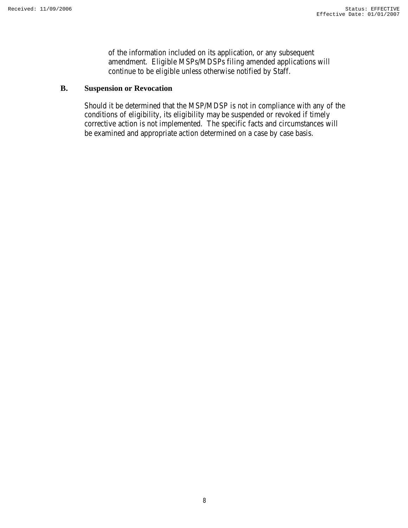of the information included on its application, or any subsequent amendment. Eligible MSPs/MDSPs filing amended applications will continue to be eligible unless otherwise notified by Staff.

# **B. Suspension or Revocation**

Should it be determined that the MSP/MDSP is not in compliance with any of the conditions of eligibility, its eligibility may be suspended or revoked if timely corrective action is not implemented. The specific facts and circumstances will be examined and appropriate action determined on a case by case basis.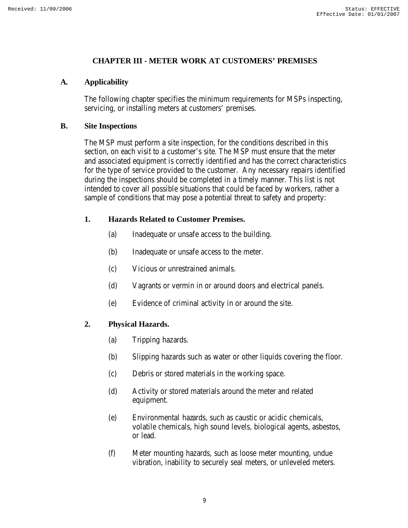#### **CHAPTER III - METER WORK AT CUSTOMERS' PREMISES**

#### **A. Applicability**

The following chapter specifies the minimum requirements for MSPs inspecting, servicing, or installing meters at customers' premises.

#### **B. Site Inspections**

The MSP must perform a site inspection, for the conditions described in this section, on each visit to a customer's site. The MSP must ensure that the meter and associated equipment is correctly identified and has the correct characteristics for the type of service provided to the customer. Any necessary repairs identified during the inspections should be completed in a timely manner. This list is not intended to cover all possible situations that could be faced by workers, rather a sample of conditions that may pose a potential threat to safety and property:

# **1. Hazards Related to Customer Premises.**

- (a) Inadequate or unsafe access to the building.
- (b) Inadequate or unsafe access to the meter.
- (c) Vicious or unrestrained animals.
- (d) Vagrants or vermin in or around doors and electrical panels.
- (e) Evidence of criminal activity in or around the site.

# **2. Physical Hazards.**

- (a) Tripping hazards.
- (b) Slipping hazards such as water or other liquids covering the floor.
- (c) Debris or stored materials in the working space.
- (d) Activity or stored materials around the meter and related equipment.
- (e) Environmental hazards, such as caustic or acidic chemicals, volatile chemicals, high sound levels, biological agents, asbestos, or lead.
- (f) Meter mounting hazards, such as loose meter mounting, undue vibration, inability to securely seal meters, or unleveled meters.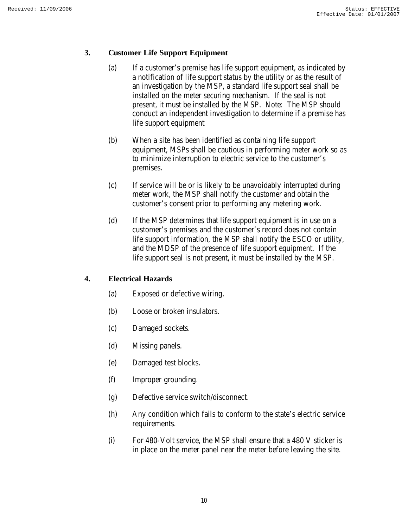#### **3. Customer Life Support Equipment**

- (a) If a customer's premise has life support equipment, as indicated by a notification of life support status by the utility or as the result of an investigation by the MSP, a standard life support seal shall be installed on the meter securing mechanism. If the seal is not present, it must be installed by the MSP. Note: The MSP should conduct an independent investigation to determine if a premise has life support equipment
- (b) When a site has been identified as containing life support equipment, MSPs shall be cautious in performing meter work so as to minimize interruption to electric service to the customer's premises.
- (c) If service will be or is likely to be unavoidably interrupted during meter work, the MSP shall notify the customer and obtain the customer's consent prior to performing any metering work.
- (d) If the MSP determines that life support equipment is in use on a customer's premises and the customer's record does not contain life support information, the MSP shall notify the ESCO or utility, and the MDSP of the presence of life support equipment. If the life support seal is not present, it must be installed by the MSP.

# **4. Electrical Hazards**

- (a) Exposed or defective wiring.
- (b) Loose or broken insulators.
- (c) Damaged sockets.
- (d) Missing panels.
- (e) Damaged test blocks.
- (f) Improper grounding.
- (g) Defective service switch/disconnect.
- (h) Any condition which fails to conform to the state's electric service requirements.
- (i) For 480-Volt service, the MSP shall ensure that a 480 V sticker is in place on the meter panel near the meter before leaving the site.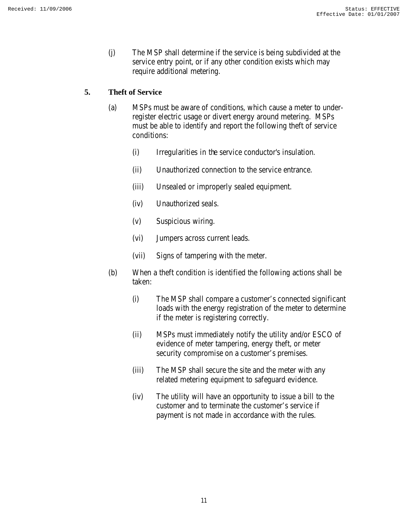(j) The MSP shall determine if the service is being subdivided at the service entry point, or if any other condition exists which may require additional metering.

#### **5. Theft of Service**

- (a) MSPs must be aware of conditions, which cause a meter to underregister electric usage or divert energy around metering. MSPs must be able to identify and report the following theft of service conditions:
	- (i) Irregularities in the service conductor's insulation.
	- (ii) Unauthorized connection to the service entrance.
	- (iii) Unsealed or improperly sealed equipment.
	- (iv) Unauthorized seals.
	- (v) Suspicious wiring.
	- (vi) Jumpers across current leads.
	- (vii) Signs of tampering with the meter.
- (b) When a theft condition is identified the following actions shall be taken:
	- (i) The MSP shall compare a customer's connected significant loads with the energy registration of the meter to determine if the meter is registering correctly.
	- (ii) MSPs must immediately notify the utility and/or ESCO of evidence of meter tampering, energy theft, or meter security compromise on a customer's premises.
	- (iii) The MSP shall secure the site and the meter with any related metering equipment to safeguard evidence.
	- (iv) The utility will have an opportunity to issue a bill to the customer and to terminate the customer's service if payment is not made in accordance with the rules.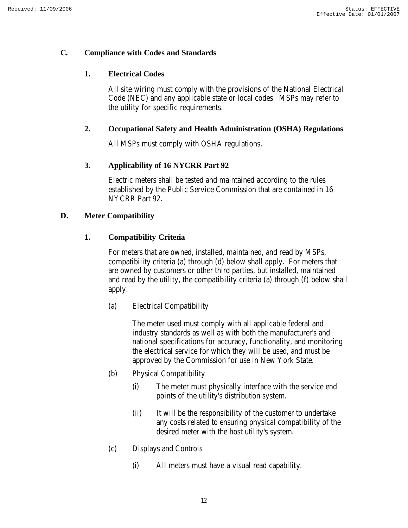#### **C. Compliance with Codes and Standards**

# **1. Electrical Codes**

All site wiring must comply with the provisions of the National Electrical Code (NEC) and any applicable state or local codes. MSPs may refer to the utility for specific requirements.

# **2. Occupational Safety and Health Administration (OSHA) Regulations**

All MSPs must comply with OSHA regulations.

# **3. Applicability of 16 NYCRR Part 92**

Electric meters shall be tested and maintained according to the rules established by the Public Service Commission that are contained in 16 NYCRR Part 92.

# **D. Meter Compatibility**

# **1. Compatibility Criteria**

For meters that are owned, installed, maintained, and read by MSPs, compatibility criteria (a) through (d) below shall apply. For meters that are owned by customers or other third parties, but installed, maintained and read by the utility, the compatibility criteria (a) through (f) below shall apply.

(a) Electrical Compatibility

The meter used must comply with all applicable federal and industry standards as well as with both the manufacturer's and national specifications for accuracy, functionality, and monitoring the electrical service for which they will be used, and must be approved by the Commission for use in New York State.

- (b) Physical Compatibility
	- (i) The meter must physically interface with the service end points of the utility's distribution system.
	- (ii) It will be the responsibility of the customer to undertake any costs related to ensuring physical compatibility of the desired meter with the host utility's system.
- (c) Displays and Controls
	- (i) All meters must have a visual read capability.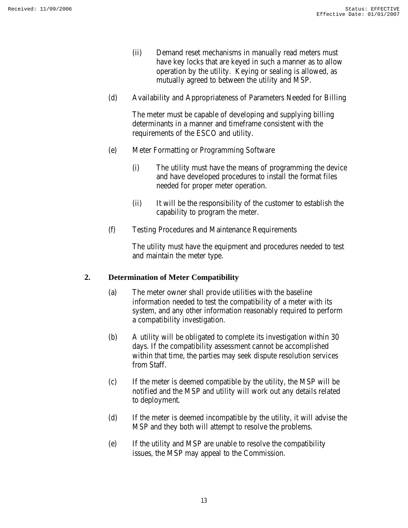- (ii) Demand reset mechanisms in manually read meters must have key locks that are keyed in such a manner as to allow operation by the utility. Keying or sealing is allowed, as mutually agreed to between the utility and MSP.
- (d) Availability and Appropriateness of Parameters Needed for Billing

The meter must be capable of developing and supplying billing determinants in a manner and timeframe consistent with the requirements of the ESCO and utility.

- (e) Meter Formatting or Programming Software
	- (i) The utility must have the means of programming the device and have developed procedures to install the format files needed for proper meter operation.
	- (ii) It will be the responsibility of the customer to establish the capability to program the meter.
- (f) Testing Procedures and Maintenance Requirements

The utility must have the equipment and procedures needed to test and maintain the meter type.

# **2. Determination of Meter Compatibility**

- (a) The meter owner shall provide utilities with the baseline information needed to test the compatibility of a meter with its system, and any other information reasonably required to perform a compatibility investigation.
- (b) A utility will be obligated to complete its investigation within 30 days. If the compatibility assessment cannot be accomplished within that time, the parties may seek dispute resolution services from Staff.
- (c) If the meter is deemed compatible by the utility, the MSP will be notified and the MSP and utility will work out any details related to deployment.
- (d) If the meter is deemed incompatible by the utility, it will advise the MSP and they both will attempt to resolve the problems.
- (e) If the utility and MSP are unable to resolve the compatibility issues, the MSP may appeal to the Commission.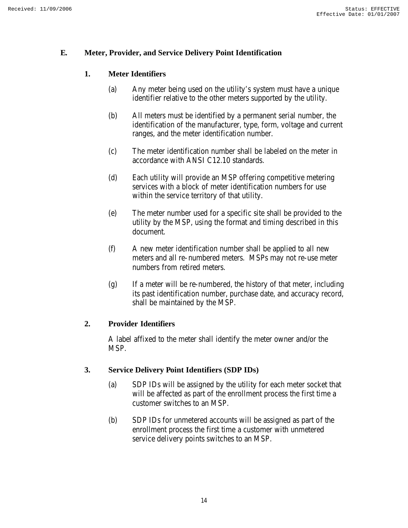#### **E. Meter, Provider, and Service Delivery Point Identification**

# **1. Meter Identifiers**

- (a) Any meter being used on the utility's system must have a unique identifier relative to the other meters supported by the utility.
- (b) All meters must be identified by a permanent serial number, the identification of the manufacturer, type, form, voltage and current ranges, and the meter identification number.
- (c) The meter identification number shall be labeled on the meter in accordance with ANSI C12.10 standards.
- (d) Each utility will provide an MSP offering competitive metering services with a block of meter identification numbers for use within the service territory of that utility.
- (e) The meter number used for a specific site shall be provided to the utility by the MSP, using the format and timing described in this document.
- (f) A new meter identification number shall be applied to all new meters and all re-numbered meters. MSPs may not re-use meter numbers from retired meters.
- (g) If a meter will be re-numbered, the history of that meter, including its past identification number, purchase date, and accuracy record, shall be maintained by the MSP.

#### **2. Provider Identifiers**

A label affixed to the meter shall identify the meter owner and/or the MSP.

#### **3. Service Delivery Point Identifiers (SDP IDs)**

- (a) SDP IDs will be assigned by the utility for each meter socket that will be affected as part of the enrollment process the first time a customer switches to an MSP.
- (b) SDP IDs for unmetered accounts will be assigned as part of the enrollment process the first time a customer with unmetered service delivery points switches to an MSP.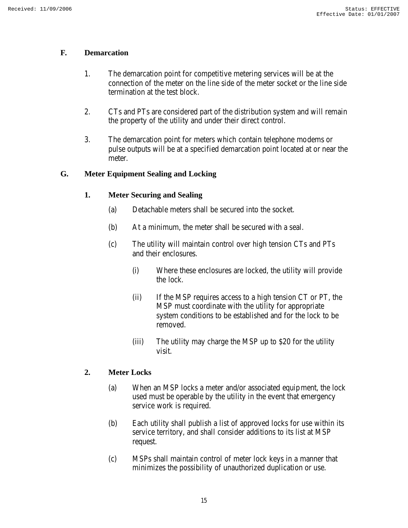#### **F. Demarcation**

- 1. The demarcation point for competitive metering services will be at the connection of the meter on the line side of the meter socket or the line side termination at the test block.
- 2. CTs and PTs are considered part of the distribution system and will remain the property of the utility and under their direct control.
- 3. The demarcation point for meters which contain telephone modems or pulse outputs will be at a specified demarcation point located at or near the meter.

# **G. Meter Equipment Sealing and Locking**

#### **1. Meter Securing and Sealing**

- (a) Detachable meters shall be secured into the socket.
- (b) At a minimum, the meter shall be secured with a seal.
- (c) The utility will maintain control over high tension CTs and PTs and their enclosures.
	- (i) Where these enclosures are locked, the utility will provide the lock.
	- (ii) If the MSP requires access to a high tension CT or PT, the MSP must coordinate with the utility for appropriate system conditions to be established and for the lock to be removed.
	- (iii) The utility may charge the MSP up to \$20 for the utility visit.

# **2. Meter Locks**

- (a) When an MSP locks a meter and/or associated equipment, the lock used must be operable by the utility in the event that emergency service work is required.
- (b) Each utility shall publish a list of approved locks for use within its service territory, and shall consider additions to its list at MSP request.
- (c) MSPs shall maintain control of meter lock keys in a manner that minimizes the possibility of unauthorized duplication or use.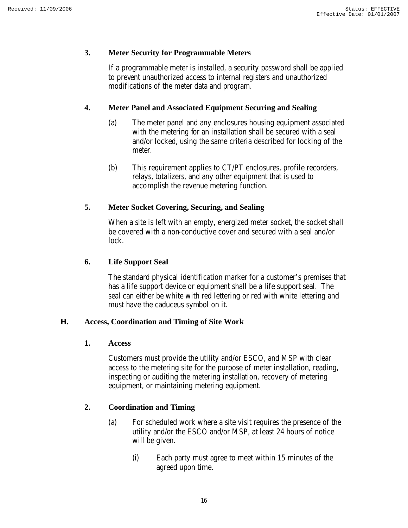#### **3. Meter Security for Programmable Meters**

If a programmable meter is installed, a security password shall be applied to prevent unauthorized access to internal registers and unauthorized modifications of the meter data and program.

#### **4. Meter Panel and Associated Equipment Securing and Sealing**

- (a) The meter panel and any enclosures housing equipment associated with the metering for an installation shall be secured with a seal and/or locked, using the same criteria described for locking of the meter.
- (b) This requirement applies to CT/PT enclosures, profile recorders, relays, totalizers, and any other equipment that is used to accomplish the revenue metering function.

#### **5. Meter Socket Covering, Securing, and Sealing**

When a site is left with an empty, energized meter socket, the socket shall be covered with a non-conductive cover and secured with a seal and/or lock.

#### **6. Life Support Seal**

The standard physical identification marker for a customer's premises that has a life support device or equipment shall be a life support seal. The seal can either be white with red lettering or red with white lettering and must have the caduceus symbol on it.

#### **H. Access, Coordination and Timing of Site Work**

**1. Access**

Customers must provide the utility and/or ESCO, and MSP with clear access to the metering site for the purpose of meter installation, reading, inspecting or auditing the metering installation, recovery of metering equipment, or maintaining metering equipment.

#### **2. Coordination and Timing**

- (a) For scheduled work where a site visit requires the presence of the utility and/or the ESCO and/or MSP, at least 24 hours of notice will be given.
	- (i) Each party must agree to meet within 15 minutes of the agreed upon time.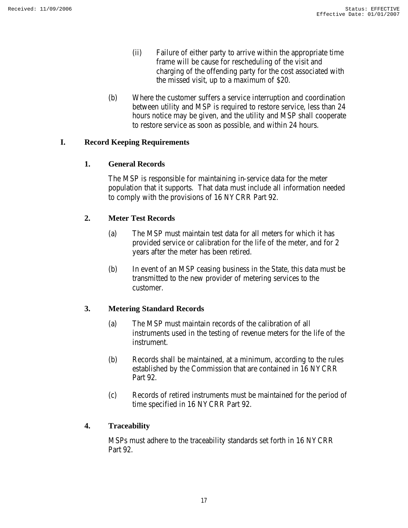- (ii) Failure of either party to arrive within the appropriate time frame will be cause for rescheduling of the visit and charging of the offending party for the cost associated with the missed visit, up to a maximum of \$20.
- (b) Where the customer suffers a service interruption and coordination between utility and MSP is required to restore service, less than 24 hours notice may be given, and the utility and MSP shall cooperate to restore service as soon as possible, and within 24 hours.

# **I. Record Keeping Requirements**

#### **1. General Records**

The MSP is responsible for maintaining in-service data for the meter population that it supports. That data must include all information needed to comply with the provisions of 16 NYCRR Part 92.

# **2. Meter Test Records**

- (a) The MSP must maintain test data for all meters for which it has provided service or calibration for the life of the meter, and for 2 years after the meter has been retired.
- (b) In event of an MSP ceasing business in the State, this data must be transmitted to the new provider of metering services to the customer.

# **3. Metering Standard Records**

- (a) The MSP must maintain records of the calibration of all instruments used in the testing of revenue meters for the life of the instrument.
- (b) Records shall be maintained, at a minimum, according to the rules established by the Commission that are contained in 16 NYCRR Part 92.
- (c) Records of retired instruments must be maintained for the period of time specified in 16 NYCRR Part 92.

#### **4. Traceability**

MSPs must adhere to the traceability standards set forth in 16 NYCRR Part 92.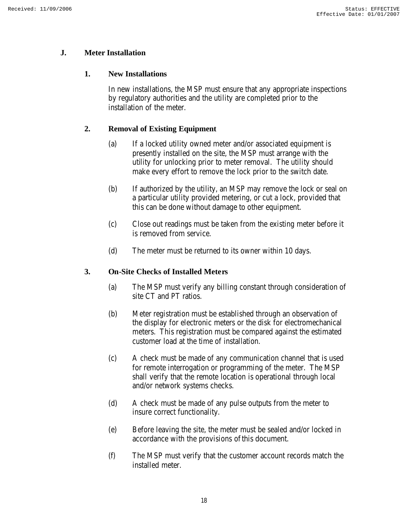# **J. Meter Installation**

#### **1. New Installations**

In new installations, the MSP must ensure that any appropriate inspections by regulatory authorities and the utility are completed prior to the installation of the meter.

# **2. Removal of Existing Equipment**

- (a) If a locked utility owned meter and/or associated equipment is presently installed on the site, the MSP must arrange with the utility for unlocking prior to meter removal. The utility should make every effort to remove the lock prior to the switch date.
- (b) If authorized by the utility, an MSP may remove the lock or seal on a particular utility provided metering, or cut a lock, provided that this can be done without damage to other equipment.
- (c) Close out readings must be taken from the existing meter before it is removed from service.
- (d) The meter must be returned to its owner within 10 days.

#### **3. On-Site Checks of Installed Meters**

- (a) The MSP must verify any billing constant through consideration of site CT and PT ratios.
- (b) Meter registration must be established through an observation of the display for electronic meters or the disk for electromechanical meters. This registration must be compared against the estimated customer load at the time of installation.
- (c) A check must be made of any communication channel that is used for remote interrogation or programming of the meter. The MSP shall verify that the remote location is operational through local and/or network systems checks.
- (d) A check must be made of any pulse outputs from the meter to insure correct functionality.
- (e) Before leaving the site, the meter must be sealed and/or locked in accordance with the provisions of this document.
- (f) The MSP must verify that the customer account records match the installed meter.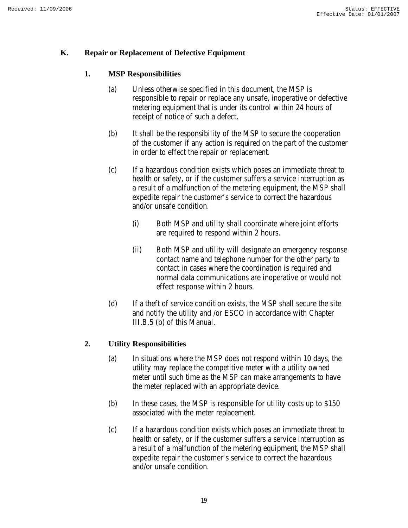#### **K. Repair or Replacement of Defective Equipment**

#### **1. MSP Responsibilities**

- (a) Unless otherwise specified in this document, the MSP is responsible to repair or replace any unsafe, inoperative or defective metering equipment that is under its control within 24 hours of receipt of notice of such a defect.
- (b) It shall be the responsibility of the MSP to secure the cooperation of the customer if any action is required on the part of the customer in order to effect the repair or replacement.
- (c) If a hazardous condition exists which poses an immediate threat to health or safety, or if the customer suffers a service interruption as a result of a malfunction of the metering equipment, the MSP shall expedite repair the customer's service to correct the hazardous and/or unsafe condition.
	- (i) Both MSP and utility shall coordinate where joint efforts are required to respond within 2 hours.
	- (ii) Both MSP and utility will designate an emergency response contact name and telephone number for the other party to contact in cases where the coordination is required and normal data communications are inoperative or would not effect response within 2 hours.
- (d) If a theft of service condition exists, the MSP shall secure the site and notify the utility and /or ESCO in accordance with Chapter III.B.5 (b) of this Manual.

#### **2. Utility Responsibilities**

- (a) In situations where the MSP does not respond within 10 days, the utility may replace the competitive meter with a utility owned meter until such time as the MSP can make arrangements to have the meter replaced with an appropriate device.
- (b) In these cases, the MSP is responsible for utility costs up to \$150 associated with the meter replacement.
- (c) If a hazardous condition exists which poses an immediate threat to health or safety, or if the customer suffers a service interruption as a result of a malfunction of the metering equipment, the MSP shall expedite repair the customer's service to correct the hazardous and/or unsafe condition.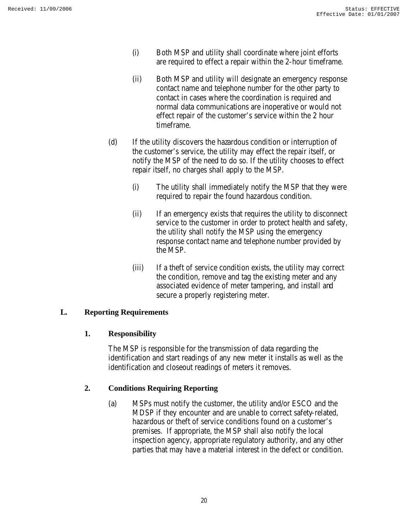- (i) Both MSP and utility shall coordinate where joint efforts are required to effect a repair within the 2-hour timeframe.
- (ii) Both MSP and utility will designate an emergency response contact name and telephone number for the other party to contact in cases where the coordination is required and normal data communications are inoperative or would not effect repair of the customer's service within the 2 hour timeframe.
- (d) If the utility discovers the hazardous condition or interruption of the customer's service, the utility may effect the repair itself, or notify the MSP of the need to do so. If the utility chooses to effect repair itself, no charges shall apply to the MSP.
	- (i) The utility shall immediately notify the MSP that they were required to repair the found hazardous condition.
	- (ii) If an emergency exists that requires the utility to disconnect service to the customer in order to protect health and safety, the utility shall notify the MSP using the emergency response contact name and telephone number provided by the MSP.
	- (iii) If a theft of service condition exists, the utility may correct the condition, remove and tag the existing meter and any associated evidence of meter tampering, and install and secure a properly registering meter.

# **L. Reporting Requirements**

#### **1. Responsibility**

The MSP is responsible for the transmission of data regarding the identification and start readings of any new meter it installs as well as the identification and closeout readings of meters it removes.

# **2. Conditions Requiring Reporting**

(a) MSPs must notify the customer, the utility and/or ESCO and the MDSP if they encounter and are unable to correct safety-related, hazardous or theft of service conditions found on a customer's premises. If appropriate, the MSP shall also notify the local inspection agency, appropriate regulatory authority, and any other parties that may have a material interest in the defect or condition.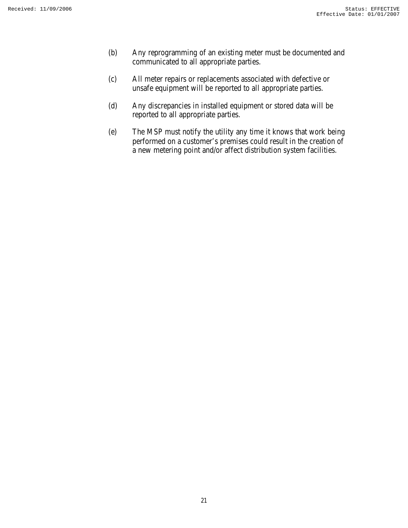- (b) Any reprogramming of an existing meter must be documented and communicated to all appropriate parties.
- (c) All meter repairs or replacements associated with defective or unsafe equipment will be reported to all appropriate parties.
- (d) Any discrepancies in installed equipment or stored data will be reported to all appropriate parties.
- (e) The MSP must notify the utility any time it knows that work being performed on a customer's premises could result in the creation of a new metering point and/or affect distribution system facilities.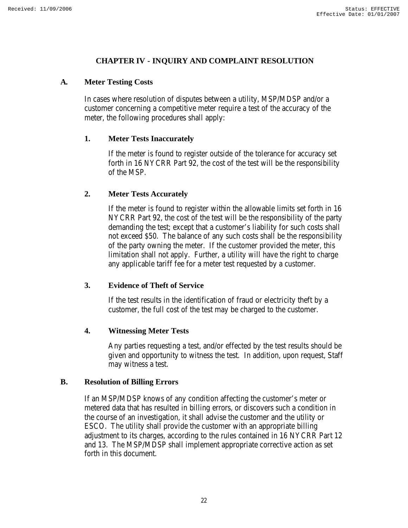#### **CHAPTER IV - INQUIRY AND COMPLAINT RESOLUTION**

#### **A. Meter Testing Costs**

In cases where resolution of disputes between a utility, MSP/MDSP and/or a customer concerning a competitive meter require a test of the accuracy of the meter, the following procedures shall apply:

#### **1. Meter Tests Inaccurately**

If the meter is found to register outside of the tolerance for accuracy set forth in 16 NYCRR Part 92, the cost of the test will be the responsibility of the MSP.

#### **2. Meter Tests Accurately**

If the meter is found to register within the allowable limits set forth in 16 NYCRR Part 92, the cost of the test will be the responsibility of the party demanding the test; except that a customer's liability for such costs shall not exceed \$50. The balance of any such costs shall be the responsibility of the party owning the meter. If the customer provided the meter, this limitation shall not apply. Further, a utility will have the right to charge any applicable tariff fee for a meter test requested by a customer.

#### **3. Evidence of Theft of Service**

If the test results in the identification of fraud or electricity theft by a customer, the full cost of the test may be charged to the customer.

#### **4. Witnessing Meter Tests**

Any parties requesting a test, and/or effected by the test results should be given and opportunity to witness the test. In addition, upon request, Staff may witness a test.

#### **B. Resolution of Billing Errors**

If an MSP/MDSP knows of any condition affecting the customer's meter or metered data that has resulted in billing errors, or discovers such a condition in the course of an investigation, it shall advise the customer and the utility or ESCO. The utility shall provide the customer with an appropriate billing adjustment to its charges, according to the rules contained in 16 NYCRR Part 12 and 13. The MSP/MDSP shall implement appropriate corrective action as set forth in this document.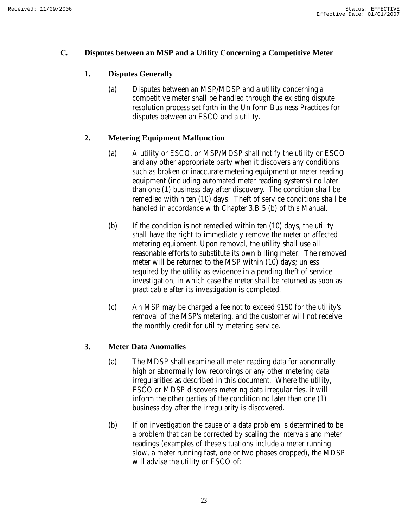#### **C. Disputes between an MSP and a Utility Concerning a Competitive Meter**

# **1. Disputes Generally**

(a) Disputes between an MSP/MDSP and a utility concerning a competitive meter shall be handled through the existing dispute resolution process set forth in the Uniform Business Practices for disputes between an ESCO and a utility.

# **2. Metering Equipment Malfunction**

- (a) A utility or ESCO, or MSP/MDSP shall notify the utility or ESCO and any other appropriate party when it discovers any conditions such as broken or inaccurate metering equipment or meter reading equipment (including automated meter reading systems) no later than one (1) business day after discovery. The condition shall be remedied within ten (10) days. Theft of service conditions shall be handled in accordance with Chapter 3.B.5 (b) of this Manual.
- (b) If the condition is not remedied within ten (10) days, the utility shall have the right to immediately remove the meter or affected metering equipment. Upon removal, the utility shall use all reasonable efforts to substitute its own billing meter. The removed meter will be returned to the MSP within (10) days; unless required by the utility as evidence in a pending theft of service investigation, in which case the meter shall be returned as soon as practicable after its investigation is completed.
- (c) An MSP may be charged a fee not to exceed \$150 for the utility's removal of the MSP's metering, and the customer will not receive the monthly credit for utility metering service.

#### **3. Meter Data Anomalies**

- (a) The MDSP shall examine all meter reading data for abnormally high or abnormally low recordings or any other metering data irregularities as described in this document. Where the utility, ESCO or MDSP discovers metering data irregularities, it will inform the other parties of the condition no later than one (1) business day after the irregularity is discovered.
- (b) If on investigation the cause of a data problem is determined to be a problem that can be corrected by scaling the intervals and meter readings (examples of these situations include a meter running slow, a meter running fast, one or two phases dropped), the MDSP will advise the utility or ESCO of: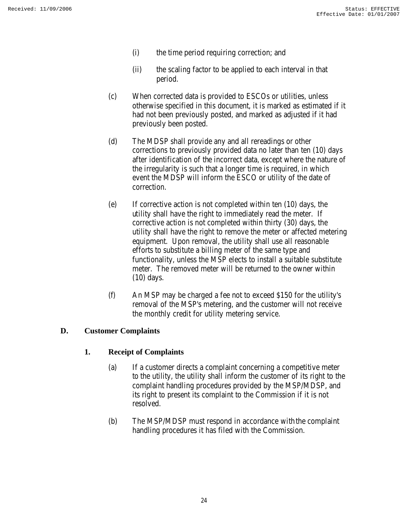- (i) the time period requiring correction; and
- (ii) the scaling factor to be applied to each interval in that period.
- (c) When corrected data is provided to ESCOs or utilities, unless otherwise specified in this document, it is marked as estimated if it had not been previously posted, and marked as adjusted if it had previously been posted.
- (d) The MDSP shall provide any and all rereadings or other corrections to previously provided data no later than ten (10) days after identification of the incorrect data, except where the nature of the irregularity is such that a longer time is required, in which event the MDSP will inform the ESCO or utility of the date of correction.
- (e) If corrective action is not completed within ten (10) days, the utility shall have the right to immediately read the meter. If corrective action is not completed within thirty (30) days, the utility shall have the right to remove the meter or affected metering equipment. Upon removal, the utility shall use all reasonable efforts to substitute a billing meter of the same type and functionality, unless the MSP elects to install a suitable substitute meter. The removed meter will be returned to the owner within (10) days.
- (f) An MSP may be charged a fee not to exceed \$150 for the utility's removal of the MSP's metering, and the customer will not receive the monthly credit for utility metering service.

#### **D. Customer Complaints**

#### **1. Receipt of Complaints**

- (a) If a customer directs a complaint concerning a competitive meter to the utility, the utility shall inform the customer of its right to the complaint handling procedures provided by the MSP/MDSP, and its right to present its complaint to the Commission if it is not resolved.
- (b) The MSP/MDSP must respond in accordance with the complaint handling procedures it has filed with the Commission.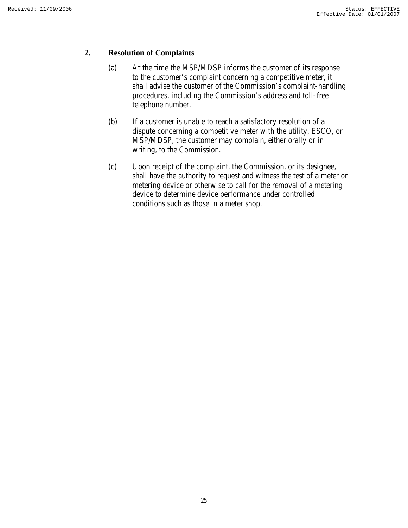#### **2. Resolution of Complaints**

- (a) At the time the MSP/MDSP informs the customer of its response to the customer's complaint concerning a competitive meter, it shall advise the customer of the Commission's complaint-handling procedures, including the Commission's address and toll-free telephone number.
- (b) If a customer is unable to reach a satisfactory resolution of a dispute concerning a competitive meter with the utility, ESCO, or MSP/MDSP, the customer may complain, either orally or in writing, to the Commission.
- (c) Upon receipt of the complaint, the Commission, or its designee, shall have the authority to request and witness the test of a meter or metering device or otherwise to call for the removal of a metering device to determine device performance under controlled conditions such as those in a meter shop.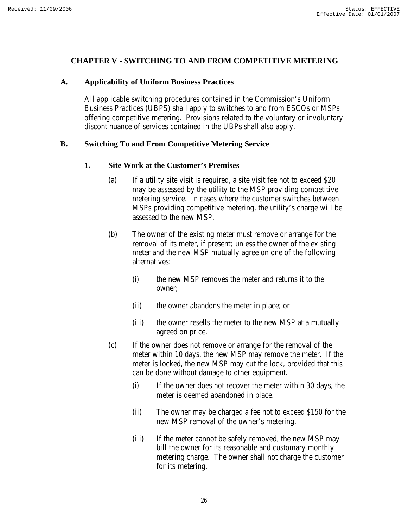#### **CHAPTER V - SWITCHING TO AND FROM COMPETITIVE METERING**

#### **A. Applicability of Uniform Business Practices**

All applicable switching procedures contained in the Commission's Uniform Business Practices (UBPS) shall apply to switches to and from ESCOs or MSPs offering competitive metering. Provisions related to the voluntary or involuntary discontinuance of services contained in the UBPs shall also apply.

#### **B. Switching To and From Competitive Metering Service**

#### **1. Site Work at the Customer's Premises**

- (a) If a utility site visit is required, a site visit fee not to exceed \$20 may be assessed by the utility to the MSP providing competitive metering service. In cases where the customer switches between MSPs providing competitive metering, the utility's charge will be assessed to the new MSP.
- (b) The owner of the existing meter must remove or arrange for the removal of its meter, if present; unless the owner of the existing meter and the new MSP mutually agree on one of the following alternatives:
	- (i) the new MSP removes the meter and returns it to the owner;
	- (ii) the owner abandons the meter in place; or
	- (iii) the owner resells the meter to the new MSP at a mutually agreed on price.
- (c) If the owner does not remove or arrange for the removal of the meter within 10 days, the new MSP may remove the meter. If the meter is locked, the new MSP may cut the lock, provided that this can be done without damage to other equipment.
	- (i) If the owner does not recover the meter within 30 days, the meter is deemed abandoned in place.
	- (ii) The owner may be charged a fee not to exceed \$150 for the new MSP removal of the owner's metering.
	- (iii) If the meter cannot be safely removed, the new MSP may bill the owner for its reasonable and customary monthly metering charge. The owner shall not charge the customer for its metering.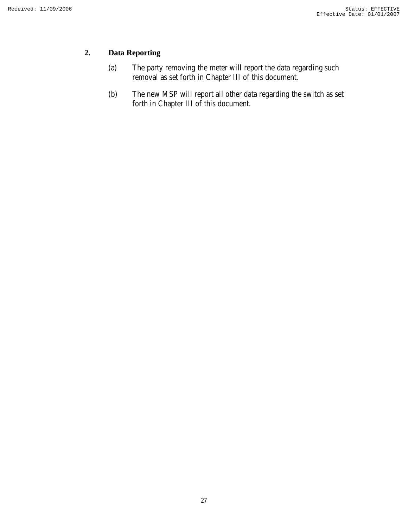# **2. Data Reporting**

- (a) The party removing the meter will report the data regarding such removal as set forth in Chapter III of this document.
- (b) The new MSP will report all other data regarding the switch as set forth in Chapter III of this document.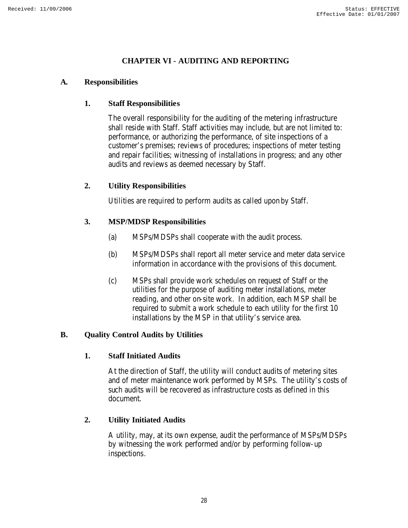# **CHAPTER VI - AUDITING AND REPORTING**

#### **A. Responsibilities**

#### **1. Staff Responsibilities**

The overall responsibility for the auditing of the metering infrastructure shall reside with Staff. Staff activities may include, but are not limited to: performance, or authorizing the performance, of site inspections of a customer's premises; reviews of procedures; inspections of meter testing and repair facilities; witnessing of installations in progress; and any other audits and reviews as deemed necessary by Staff.

#### **2. Utility Responsibilities**

Utilities are required to perform audits as called upon by Staff.

#### **3. MSP/MDSP Responsibilities**

- (a) MSPs/MDSPs shall cooperate with the audit process.
- (b) MSPs/MDSPs shall report all meter service and meter data service information in accordance with the provisions of this document.
- (c) MSPs shall provide work schedules on request of Staff or the utilities for the purpose of auditing meter installations, meter reading, and other on-site work. In addition, each MSP shall be required to submit a work schedule to each utility for the first 10 installations by the MSP in that utility's service area.

#### **B. Quality Control Audits by Utilities**

#### **1. Staff Initiated Audits**

At the direction of Staff, the utility will conduct audits of metering sites and of meter maintenance work performed by MSPs. The utility's costs of such audits will be recovered as infrastructure costs as defined in this document.

#### **2. Utility Initiated Audits**

A utility, may, at its own expense, audit the performance of MSPs/MDSPs by witnessing the work performed and/or by performing follow-up inspections.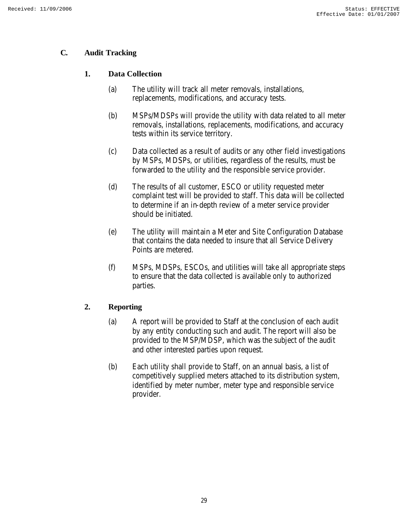# **C. Audit Tracking**

# **1. Data Collection**

- (a) The utility will track all meter removals, installations, replacements, modifications, and accuracy tests.
- (b) MSPs/MDSPs will provide the utility with data related to all meter removals, installations, replacements, modifications, and accuracy tests within its service territory.
- (c) Data collected as a result of audits or any other field investigations by MSPs, MDSPs, or utilities, regardless of the results, must be forwarded to the utility and the responsible service provider.
- (d) The results of all customer, ESCO or utility requested meter complaint test will be provided to staff. This data will be collected to determine if an in-depth review of a meter service provider should be initiated.
- (e) The utility will maintain a Meter and Site Configuration Database that contains the data needed to insure that all Service Delivery Points are metered.
- (f) MSPs, MDSPs, ESCOs, and utilities will take all appropriate steps to ensure that the data collected is available only to authorized parties.

# **2. Reporting**

- (a) A report will be provided to Staff at the conclusion of each audit by any entity conducting such and audit. The report will also be provided to the MSP/MDSP, which was the subject of the audit and other interested parties upon request.
- (b) Each utility shall provide to Staff, on an annual basis, a list of competitively supplied meters attached to its distribution system, identified by meter number, meter type and responsible service provider.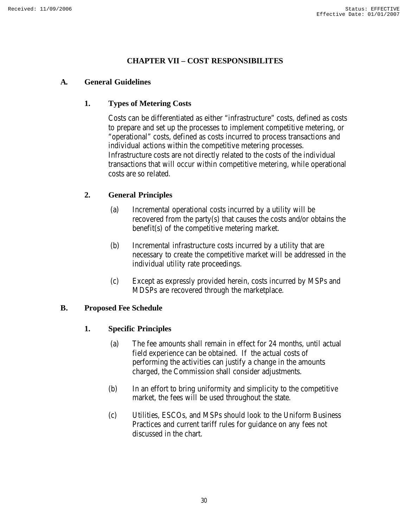# **CHAPTER VII – COST RESPONSIBILITES**

#### **A. General Guidelines**

#### **1. Types of Metering Costs**

Costs can be differentiated as either "infrastructure" costs, defined as costs to prepare and set up the processes to implement competitive metering, or "operational" costs, defined as costs incurred to process transactions and individual actions within the competitive metering processes. Infrastructure costs are not directly related to the costs of the individual transactions that will occur within competitive metering, while operational costs are so related.

# **2. General Principles**

- (a) Incremental operational costs incurred by a utility will be recovered from the party(s) that causes the costs and/or obtains the benefit(s) of the competitive metering market.
- (b) Incremental infrastructure costs incurred by a utility that are necessary to create the competitive market will be addressed in the individual utility rate proceedings.
- (c) Except as expressly provided herein, costs incurred by MSPs and MDSPs are recovered through the marketplace.

#### **B. Proposed Fee Schedule**

#### **1. Specific Principles**

- (a) The fee amounts shall remain in effect for 24 months, until actual field experience can be obtained. If the actual costs of performing the activities can justify a change in the amounts charged, the Commission shall consider adjustments.
- (b) In an effort to bring uniformity and simplicity to the competitive market, the fees will be used throughout the state.
- (c) Utilities, ESCOs, and MSPs should look to the Uniform Business Practices and current tariff rules for guidance on any fees not discussed in the chart.